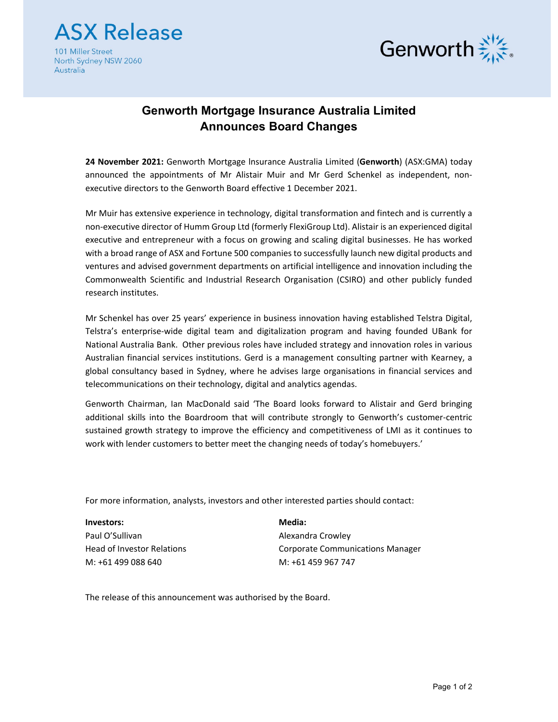

101 Miller Street North Sydney NSW 2060 Australia



## **Genworth Mortgage Insurance Australia Limited Announces Board Changes**

**24 November 2021:** Genworth Mortgage lnsurance Australia Limited (**Genworth**) (ASX:GMA) today announced the appointments of Mr Alistair Muir and Mr Gerd Schenkel as independent, non‐ executive directors to the Genworth Board effective 1 December 2021.

Mr Muir has extensive experience in technology, digital transformation and fintech and is currently a non‐executive director of Humm Group Ltd (formerly FlexiGroup Ltd). Alistair is an experienced digital executive and entrepreneur with a focus on growing and scaling digital businesses. He has worked with a broad range of ASX and Fortune 500 companies to successfully launch new digital products and ventures and advised government departments on artificial intelligence and innovation including the Commonwealth Scientific and Industrial Research Organisation (CSIRO) and other publicly funded research institutes.

Mr Schenkel has over 25 years' experience in business innovation having established Telstra Digital, Telstra's enterprise‐wide digital team and digitalization program and having founded UBank for National Australia Bank. Other previous roles have included strategy and innovation roles in various Australian financial services institutions. Gerd is a management consulting partner with Kearney, a global consultancy based in Sydney, where he advises large organisations in financial services and telecommunications on their technology, digital and analytics agendas.

Genworth Chairman, Ian MacDonald said 'The Board looks forward to Alistair and Gerd bringing additional skills into the Boardroom that will contribute strongly to Genworth's customer‐centric sustained growth strategy to improve the efficiency and competitiveness of LMI as it continues to work with lender customers to better meet the changing needs of today's homebuyers.'

For more information, analysts, investors and other interested parties should contact:

**Investors:** Paul O'Sullivan Head of Investor Relations M: +61 499 088 640

**Media:** Alexandra Crowley Corporate Communications Manager M: +61 459 967 747

The release of this announcement was authorised by the Board.